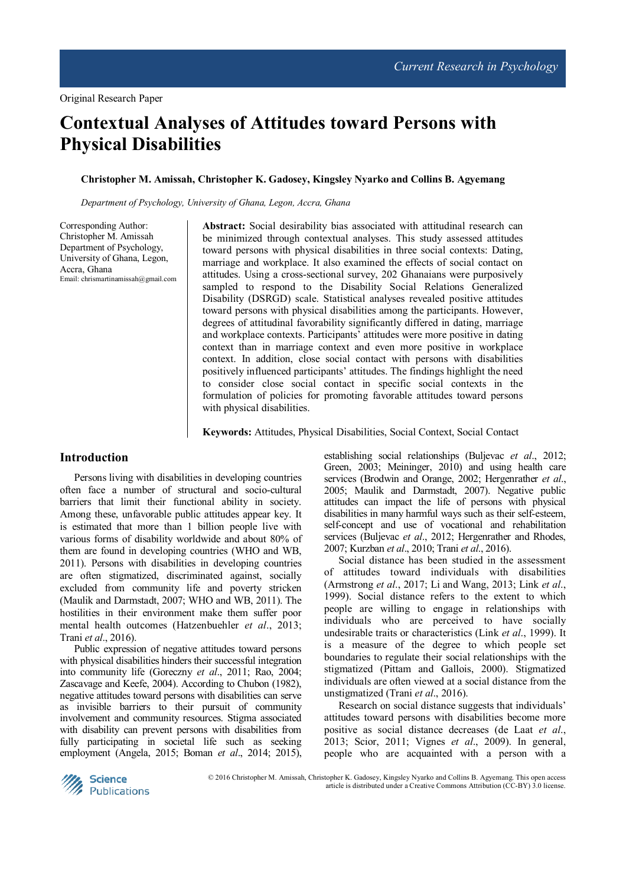# **Contextual Analyses of Attitudes toward Persons with Physical Disabilities**

#### **Christopher M. Amissah, Christopher K. Gadosey, Kingsley Nyarko and Collins B. Agyemang**

*Department of Psychology, University of Ghana, Legon, Accra, Ghana*

Corresponding Author: Christopher M. Amissah Department of Psychology, University of Ghana, Legon, Accra, Ghana Email: chrismartinamissah@gmail.com **Abstract:** Social desirability bias associated with attitudinal research can be minimized through contextual analyses. This study assessed attitudes toward persons with physical disabilities in three social contexts: Dating, marriage and workplace. It also examined the effects of social contact on attitudes. Using a cross-sectional survey, 202 Ghanaians were purposively sampled to respond to the Disability Social Relations Generalized Disability (DSRGD) scale. Statistical analyses revealed positive attitudes toward persons with physical disabilities among the participants. However, degrees of attitudinal favorability significantly differed in dating, marriage and workplace contexts. Participants' attitudes were more positive in dating context than in marriage context and even more positive in workplace context. In addition, close social contact with persons with disabilities positively influenced participants' attitudes. The findings highlight the need to consider close social contact in specific social contexts in the formulation of policies for promoting favorable attitudes toward persons with physical disabilities.

**Keywords:** Attitudes, Physical Disabilities, Social Context, Social Contact

## **Introduction**

Persons living with disabilities in developing countries often face a number of structural and socio-cultural barriers that limit their functional ability in society. Among these, unfavorable public attitudes appear key. It is estimated that more than 1 billion people live with various forms of disability worldwide and about 80% of them are found in developing countries (WHO and WB, 2011). Persons with disabilities in developing countries are often stigmatized, discriminated against, socially excluded from community life and poverty stricken (Maulik and Darmstadt, 2007; WHO and WB, 2011). The hostilities in their environment make them suffer poor mental health outcomes (Hatzenbuehler *et al*., 2013; Trani *et al*., 2016).

Public expression of negative attitudes toward persons with physical disabilities hinders their successful integration into community life (Goreczny *et al*., 2011; Rao, 2004; Zascavage and Keefe, 2004). According to Chubon (1982), negative attitudes toward persons with disabilities can serve as invisible barriers to their pursuit of community involvement and community resources. Stigma associated with disability can prevent persons with disabilities from fully participating in societal life such as seeking employment (Angela, 2015; Boman *et al*., 2014; 2015), establishing social relationships (Buljevac *et al*., 2012; Green, 2003; Meininger, 2010) and using health care services (Brodwin and Orange, 2002; Hergenrather *et al*., 2005; Maulik and Darmstadt, 2007). Negative public attitudes can impact the life of persons with physical disabilities in many harmful ways such as their self-esteem, self-concept and use of vocational and rehabilitation services (Buljevac *et al*., 2012; Hergenrather and Rhodes, 2007; Kurzban *et al*., 2010; Trani *et al*., 2016).

Social distance has been studied in the assessment of attitudes toward individuals with disabilities (Armstrong *et al*., 2017; Li and Wang, 2013; Link *et al*., 1999). Social distance refers to the extent to which people are willing to engage in relationships with individuals who are perceived to have socially undesirable traits or characteristics (Link *et al*., 1999). It is a measure of the degree to which people set boundaries to regulate their social relationships with the stigmatized (Pittam and Gallois, 2000). Stigmatized individuals are often viewed at a social distance from the unstigmatized (Trani *et al*., 2016).

Research on social distance suggests that individuals' attitudes toward persons with disabilities become more positive as social distance decreases (de Laat *et al*., 2013; Scior, 2011; Vignes *et al*., 2009). In general, people who are acquainted with a person with a



© 2016 Christopher M. Amissah, Christopher K. Gadosey, Kingsley Nyarko and Collins B. Agyemang. This open access article is distributed under a Creative Commons Attribution (CC-BY) 3.0 license.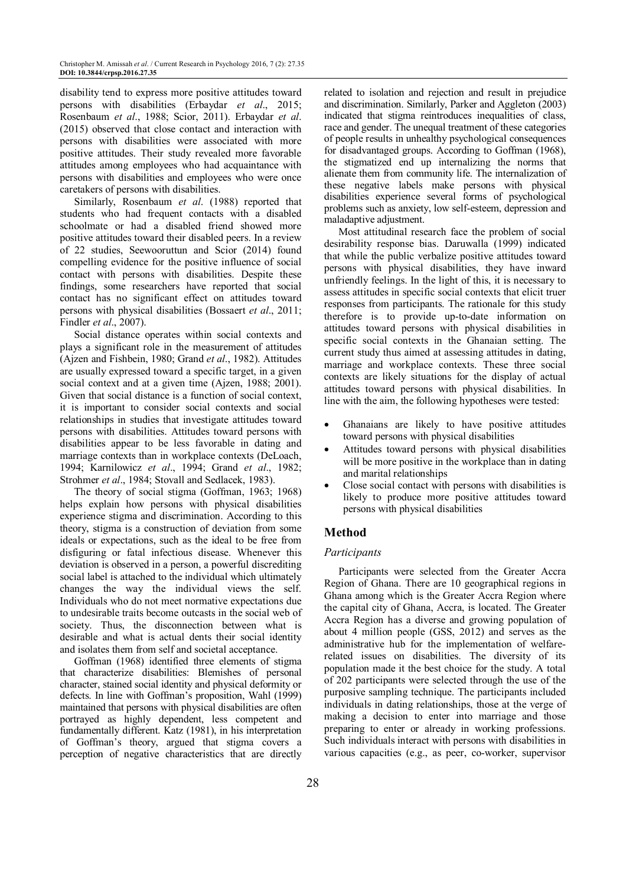disability tend to express more positive attitudes toward persons with disabilities (Erbaydar *et al*., 2015; Rosenbaum *et al*., 1988; Scior, 2011). Erbaydar *et al*. (2015) observed that close contact and interaction with persons with disabilities were associated with more positive attitudes. Their study revealed more favorable attitudes among employees who had acquaintance with persons with disabilities and employees who were once caretakers of persons with disabilities.

Similarly, Rosenbaum *et al*. (1988) reported that students who had frequent contacts with a disabled schoolmate or had a disabled friend showed more positive attitudes toward their disabled peers. In a review of 22 studies, Seewooruttun and Scior (2014) found compelling evidence for the positive influence of social contact with persons with disabilities. Despite these findings, some researchers have reported that social contact has no significant effect on attitudes toward persons with physical disabilities (Bossaert *et al*., 2011; Findler *et al*., 2007).

Social distance operates within social contexts and plays a significant role in the measurement of attitudes (Ajzen and Fishbein, 1980; Grand *et al*., 1982). Attitudes are usually expressed toward a specific target, in a given social context and at a given time (Ajzen, 1988; 2001). Given that social distance is a function of social context, it is important to consider social contexts and social relationships in studies that investigate attitudes toward persons with disabilities. Attitudes toward persons with disabilities appear to be less favorable in dating and marriage contexts than in workplace contexts (DeLoach, 1994; Karnilowicz *et al*., 1994; Grand *et al*., 1982; Strohmer *et al*., 1984; Stovall and Sedlacek, 1983).

The theory of social stigma (Goffman, 1963; 1968) helps explain how persons with physical disabilities experience stigma and discrimination. According to this theory, stigma is a construction of deviation from some ideals or expectations, such as the ideal to be free from disfiguring or fatal infectious disease. Whenever this deviation is observed in a person, a powerful discrediting social label is attached to the individual which ultimately changes the way the individual views the self. Individuals who do not meet normative expectations due to undesirable traits become outcasts in the social web of society. Thus, the disconnection between what is desirable and what is actual dents their social identity and isolates them from self and societal acceptance.

Goffman (1968) identified three elements of stigma that characterize disabilities: Blemishes of personal character, stained social identity and physical deformity or defects. In line with Goffman's proposition, Wahl (1999) maintained that persons with physical disabilities are often portrayed as highly dependent, less competent and fundamentally different. Katz (1981), in his interpretation of Goffman's theory, argued that stigma covers a perception of negative characteristics that are directly

related to isolation and rejection and result in prejudice and discrimination. Similarly, Parker and Aggleton (2003) indicated that stigma reintroduces inequalities of class, race and gender. The unequal treatment of these categories of people results in unhealthy psychological consequences for disadvantaged groups. According to Goffman (1968), the stigmatized end up internalizing the norms that alienate them from community life. The internalization of these negative labels make persons with physical disabilities experience several forms of psychological problems such as anxiety, low self-esteem, depression and maladaptive adjustment.

Most attitudinal research face the problem of social desirability response bias. Daruwalla (1999) indicated that while the public verbalize positive attitudes toward persons with physical disabilities, they have inward unfriendly feelings. In the light of this, it is necessary to assess attitudes in specific social contexts that elicit truer responses from participants. The rationale for this study therefore is to provide up-to-date information on attitudes toward persons with physical disabilities in specific social contexts in the Ghanaian setting. The current study thus aimed at assessing attitudes in dating, marriage and workplace contexts. These three social contexts are likely situations for the display of actual attitudes toward persons with physical disabilities. In line with the aim, the following hypotheses were tested:

- Ghanaians are likely to have positive attitudes toward persons with physical disabilities
- Attitudes toward persons with physical disabilities will be more positive in the workplace than in dating and marital relationships
- Close social contact with persons with disabilities is likely to produce more positive attitudes toward persons with physical disabilities

## **Method**

## *Participants*

Participants were selected from the Greater Accra Region of Ghana. There are 10 geographical regions in Ghana among which is the Greater Accra Region where the capital city of Ghana, Accra, is located. The Greater Accra Region has a diverse and growing population of about 4 million people (GSS, 2012) and serves as the administrative hub for the implementation of welfarerelated issues on disabilities. The diversity of its population made it the best choice for the study. A total of 202 participants were selected through the use of the purposive sampling technique. The participants included individuals in dating relationships, those at the verge of making a decision to enter into marriage and those preparing to enter or already in working professions. Such individuals interact with persons with disabilities in various capacities (e.g., as peer, co-worker, supervisor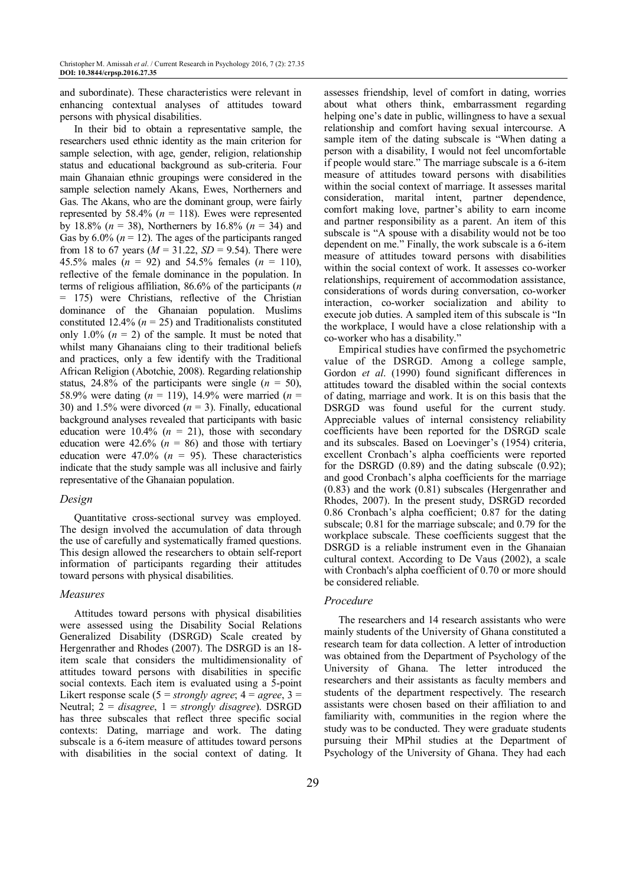and subordinate). These characteristics were relevant in enhancing contextual analyses of attitudes toward persons with physical disabilities.

In their bid to obtain a representative sample, the researchers used ethnic identity as the main criterion for sample selection, with age, gender, religion, relationship status and educational background as sub-criteria. Four main Ghanaian ethnic groupings were considered in the sample selection namely Akans, Ewes, Northerners and Gas. The Akans, who are the dominant group, were fairly represented by  $58.4\%$  ( $n = 118$ ). Ewes were represented by 18.8% ( $n = 38$ ), Northerners by 16.8% ( $n = 34$ ) and Gas by  $6.0\%$  ( $n = 12$ ). The ages of the participants ranged from 18 to 67 years  $(M = 31.22, SD = 9.54)$ . There were 45.5% males (*n* = 92) and 54.5% females (*n* = 110), reflective of the female dominance in the population. In terms of religious affiliation, 86.6% of the participants (*n* = 175) were Christians, reflective of the Christian dominance of the Ghanaian population. Muslims constituted 12.4% ( $n = 25$ ) and Traditionalists constituted only  $1.0\%$  ( $n = 2$ ) of the sample. It must be noted that whilst many Ghanaians cling to their traditional beliefs and practices, only a few identify with the Traditional African Religion (Abotchie, 2008). Regarding relationship status, 24.8% of the participants were single  $(n = 50)$ , 58.9% were dating (*n* = 119), 14.9% were married (*n* = 30) and 1.5% were divorced (*n* = 3). Finally, educational background analyses revealed that participants with basic education were  $10.4\%$  ( $n = 21$ ), those with secondary education were  $42.6\%$  ( $n = 86$ ) and those with tertiary education were  $47.0\%$  ( $n = 95$ ). These characteristics indicate that the study sample was all inclusive and fairly representative of the Ghanaian population.

#### *Design*

Quantitative cross-sectional survey was employed. The design involved the accumulation of data through the use of carefully and systematically framed questions. This design allowed the researchers to obtain self-report information of participants regarding their attitudes toward persons with physical disabilities.

#### *Measures*

Attitudes toward persons with physical disabilities were assessed using the Disability Social Relations Generalized Disability (DSRGD) Scale created by Hergenrather and Rhodes (2007). The DSRGD is an 18 item scale that considers the multidimensionality of attitudes toward persons with disabilities in specific social contexts. Each item is evaluated using a 5-point Likert response scale ( $5 =$ *strongly agree*;  $4 =$ *agree*,  $3 =$ Neutral; 2 = *disagree*, 1 = *strongly disagree*). DSRGD has three subscales that reflect three specific social contexts: Dating, marriage and work. The dating subscale is a 6-item measure of attitudes toward persons with disabilities in the social context of dating. It

assesses friendship, level of comfort in dating, worries about what others think, embarrassment regarding helping one's date in public, willingness to have a sexual relationship and comfort having sexual intercourse. A sample item of the dating subscale is "When dating a person with a disability, I would not feel uncomfortable if people would stare." The marriage subscale is a 6-item measure of attitudes toward persons with disabilities within the social context of marriage. It assesses marital consideration, marital intent, partner dependence, comfort making love, partner's ability to earn income and partner responsibility as a parent. An item of this subscale is "A spouse with a disability would not be too dependent on me." Finally, the work subscale is a 6-item measure of attitudes toward persons with disabilities within the social context of work. It assesses co-worker relationships, requirement of accommodation assistance, considerations of words during conversation, co-worker interaction, co-worker socialization and ability to execute job duties. A sampled item of this subscale is "In the workplace, I would have a close relationship with a co-worker who has a disability."

Empirical studies have confirmed the psychometric value of the DSRGD. Among a college sample, Gordon *et al*. (1990) found significant differences in attitudes toward the disabled within the social contexts of dating, marriage and work. It is on this basis that the DSRGD was found useful for the current study. Appreciable values of internal consistency reliability coefficients have been reported for the DSRGD scale and its subscales. Based on Loevinger's (1954) criteria, excellent Cronbach's alpha coefficients were reported for the DSRGD (0.89) and the dating subscale (0.92); and good Cronbach's alpha coefficients for the marriage (0.83) and the work (0.81) subscales (Hergenrather and Rhodes, 2007). In the present study, DSRGD recorded 0.86 Cronbach's alpha coefficient; 0.87 for the dating subscale; 0.81 for the marriage subscale; and 0.79 for the workplace subscale. These coefficients suggest that the DSRGD is a reliable instrument even in the Ghanaian cultural context. According to De Vaus (2002), a scale with Cronbach's alpha coefficient of 0.70 or more should be considered reliable.

#### *Procedure*

The researchers and 14 research assistants who were mainly students of the University of Ghana constituted a research team for data collection. A letter of introduction was obtained from the Department of Psychology of the University of Ghana. The letter introduced the researchers and their assistants as faculty members and students of the department respectively. The research assistants were chosen based on their affiliation to and familiarity with, communities in the region where the study was to be conducted. They were graduate students pursuing their MPhil studies at the Department of Psychology of the University of Ghana. They had each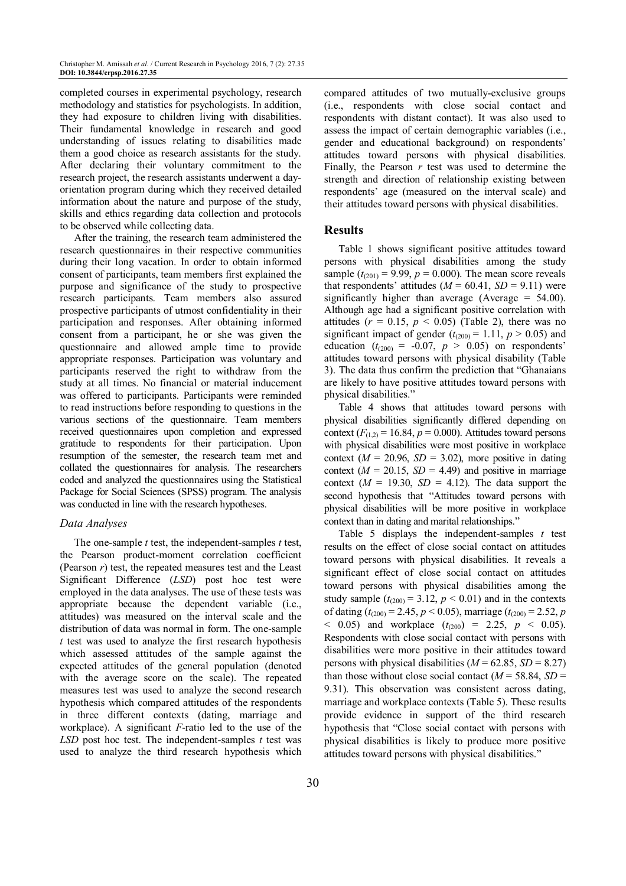completed courses in experimental psychology, research methodology and statistics for psychologists. In addition, they had exposure to children living with disabilities. Their fundamental knowledge in research and good understanding of issues relating to disabilities made them a good choice as research assistants for the study. After declaring their voluntary commitment to the research project, the research assistants underwent a dayorientation program during which they received detailed information about the nature and purpose of the study, skills and ethics regarding data collection and protocols to be observed while collecting data.

After the training, the research team administered the research questionnaires in their respective communities during their long vacation. In order to obtain informed consent of participants, team members first explained the purpose and significance of the study to prospective research participants. Team members also assured prospective participants of utmost confidentiality in their participation and responses. After obtaining informed consent from a participant, he or she was given the questionnaire and allowed ample time to provide appropriate responses. Participation was voluntary and participants reserved the right to withdraw from the study at all times. No financial or material inducement was offered to participants. Participants were reminded to read instructions before responding to questions in the various sections of the questionnaire. Team members received questionnaires upon completion and expressed gratitude to respondents for their participation. Upon resumption of the semester, the research team met and collated the questionnaires for analysis. The researchers coded and analyzed the questionnaires using the Statistical Package for Social Sciences (SPSS) program. The analysis was conducted in line with the research hypotheses.

## *Data Analyses*

The one-sample *t* test, the independent-samples *t* test, the Pearson product-moment correlation coefficient (Pearson *r*) test, the repeated measures test and the Least Significant Difference (*LSD*) post hoc test were employed in the data analyses. The use of these tests was appropriate because the dependent variable (i.e., attitudes) was measured on the interval scale and the distribution of data was normal in form. The one-sample *t* test was used to analyze the first research hypothesis which assessed attitudes of the sample against the expected attitudes of the general population (denoted with the average score on the scale). The repeated measures test was used to analyze the second research hypothesis which compared attitudes of the respondents in three different contexts (dating, marriage and workplace). A significant *F*-ratio led to the use of the *LSD* post hoc test. The independent-samples *t* test was used to analyze the third research hypothesis which

compared attitudes of two mutually-exclusive groups (i.e., respondents with close social contact and respondents with distant contact). It was also used to assess the impact of certain demographic variables (i.e., gender and educational background) on respondents' attitudes toward persons with physical disabilities. Finally, the Pearson  $r$  test was used to determine the strength and direction of relationship existing between respondents' age (measured on the interval scale) and their attitudes toward persons with physical disabilities.

## **Results**

Table 1 shows significant positive attitudes toward persons with physical disabilities among the study sample  $(t_{(201)} = 9.99, p = 0.000)$ . The mean score reveals that respondents' attitudes  $(M = 60.41, SD = 9.11)$  were significantly higher than average (Average  $= 54.00$ ). Although age had a significant positive correlation with attitudes  $(r = 0.15, p < 0.05)$  (Table 2), there was no significant impact of gender  $(t_{(200)} = 1.11, p > 0.05)$  and education  $(t_{(200)} = -0.07, p > 0.05)$  on respondents' attitudes toward persons with physical disability (Table 3). The data thus confirm the prediction that "Ghanaians are likely to have positive attitudes toward persons with physical disabilities."

Table 4 shows that attitudes toward persons with physical disabilities significantly differed depending on context  $(F_{(1,2)} = 16.84, p = 0.000)$ . Attitudes toward persons with physical disabilities were most positive in workplace context  $(M = 20.96, SD = 3.02)$ , more positive in dating context  $(M = 20.15, SD = 4.49)$  and positive in marriage context  $(M = 19.30, SD = 4.12)$ . The data support the second hypothesis that "Attitudes toward persons with physical disabilities will be more positive in workplace context than in dating and marital relationships."

Table 5 displays the independent-samples *t* test results on the effect of close social contact on attitudes toward persons with physical disabilities. It reveals a significant effect of close social contact on attitudes toward persons with physical disabilities among the study sample  $(t_{(200)} = 3.12, p < 0.01)$  and in the contexts of dating  $(t_{(200)} = 2.45, p < 0.05)$ , marriage  $(t_{(200)} = 2.52, p$  $<$  0.05) and workplace  $(t_{(200)})$  = 2.25, *p*  $<$  0.05). Respondents with close social contact with persons with disabilities were more positive in their attitudes toward persons with physical disabilities  $(M = 62.85, SD = 8.27)$ than those without close social contact  $(M = 58.84, SD =$ 9.31). This observation was consistent across dating, marriage and workplace contexts (Table 5). These results provide evidence in support of the third research hypothesis that "Close social contact with persons with physical disabilities is likely to produce more positive attitudes toward persons with physical disabilities."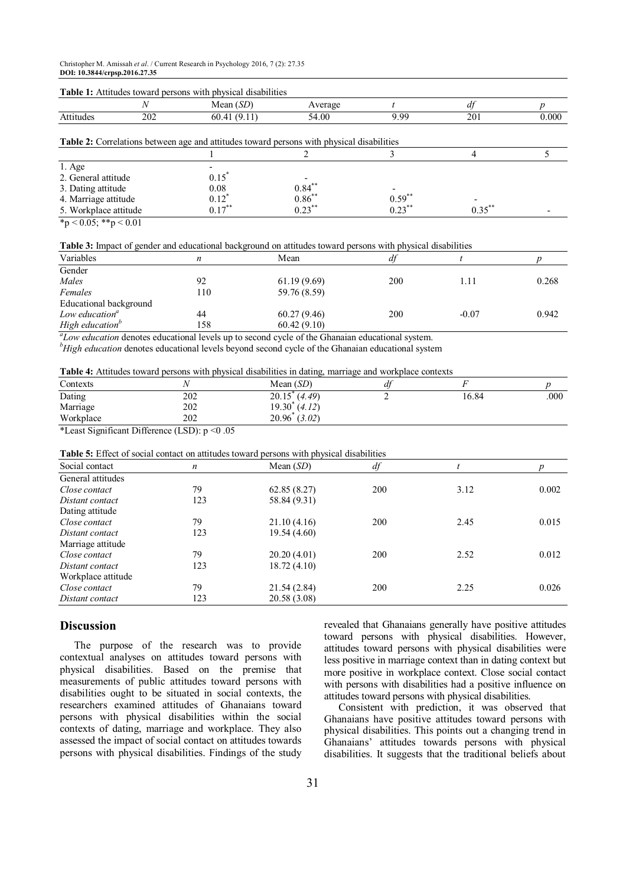Christopher M. Amissah *et al*. / Current Research in Psychology 2016, 7 (2): 27.35 **DOI: 10.3844/crpsp.2016.27.35** 

|                                    |     | <b>Table 1:</b> Attitudes toward persons with physical disabilities                       |             |             |           |       |
|------------------------------------|-----|-------------------------------------------------------------------------------------------|-------------|-------------|-----------|-------|
|                                    |     | Mean $(SD)$                                                                               | Average     |             |           |       |
| Attitudes                          | 202 | 60.41(9.11)                                                                               | 54.00       | 9.99        | 201       | 0.000 |
|                                    |     | Table 2: Correlations between age and attitudes toward persons with physical disabilities |             |             |           |       |
|                                    |     |                                                                                           |             |             |           |       |
| $1. \text{Age}$                    |     |                                                                                           |             |             |           |       |
| 2. General attitude                |     | $0.15^*$                                                                                  |             |             |           |       |
| 3. Dating attitude                 |     | 0.08                                                                                      | $0.84$ **   |             |           |       |
| 4. Marriage attitude               |     | $0.12^*$                                                                                  | $0.86^{**}$ | $0.59^{**}$ |           |       |
| $0.17***$<br>5. Workplace attitude |     |                                                                                           | $0.23***$   | $0.23$ **   | $0.35***$ |       |
| $*_{n}$ / 0.05 · **n / 0.01        |     |                                                                                           |             |             |           |       |

 $~^{\ast}p < 0.05;$   $~^{\ast}$  $\ast$  $p < 0.01$ 

#### **Table 3:** Impact of gender and educational background on attitudes toward persons with physical disabilities

| Variables                    | n   | Mean         | aı  |         |       |
|------------------------------|-----|--------------|-----|---------|-------|
| Gender                       |     |              |     |         |       |
| Males                        | 92  | 61.19(9.69)  | 200 | 1.11    | 0.268 |
| Females                      | 10  | 59.76 (8.59) |     |         |       |
| Educational background       |     |              |     |         |       |
| Low education $\mathbf{u}^a$ | 44  | 60.27(9.46)  | 200 | $-0.07$ | 0.942 |
| High education <sup>b</sup>  | 158 | 60.42(9.10)  |     |         |       |

*a Low education* denotes educational levels up to second cycle of the Ghanaian educational system.

*<sup>b</sup>High education* denotes educational levels beyond second cycle of the Ghanaian educational system

**Table 4:** Attitudes toward persons with physical disabilities in dating, marriage and workplace contexts

| Contexts  |     | Mean $(SD)$         | at |       |     |
|-----------|-----|---------------------|----|-------|-----|
| Dating    | 202 | 20.15<br>(4.49)     | -  | 16.84 | 000 |
| Marriage  | 202 | $19.30^*$ (4.12)    |    |       |     |
| Workplace | 202 | $20.96^*$<br>(3.02) |    |       |     |

\*Least Significant Difference (LSD): p <0 .05

| <b>Table 5:</b> Effect of social contact on attitudes toward persons with physical disabilities |     |              |     |      |       |  |
|-------------------------------------------------------------------------------------------------|-----|--------------|-----|------|-------|--|
| Social contact                                                                                  | n   | Mean $(SD)$  | df  |      |       |  |
| General attitudes                                                                               |     |              |     |      |       |  |
| Close contact                                                                                   | 79  | 62.85(8.27)  | 200 | 3.12 | 0.002 |  |
| Distant contact                                                                                 | 123 | 58.84 (9.31) |     |      |       |  |
| Dating attitude                                                                                 |     |              |     |      |       |  |
| Close contact                                                                                   | 79  | 21.10(4.16)  | 200 | 2.45 | 0.015 |  |
| Distant contact                                                                                 | 123 | 19.54 (4.60) |     |      |       |  |
| Marriage attitude                                                                               |     |              |     |      |       |  |
| Close contact                                                                                   | 79  | 20.20(4.01)  | 200 | 2.52 | 0.012 |  |
| Distant contact                                                                                 | 123 | 18.72(4.10)  |     |      |       |  |
| Workplace attitude                                                                              |     |              |     |      |       |  |
| Close contact                                                                                   | 79  | 21.54 (2.84) | 200 | 2.25 | 0.026 |  |
| Distant contact                                                                                 | 123 | 20.58(3.08)  |     |      |       |  |

**Table 5:** Effect of social contact on attitudes toward persons with physical disabilities

## **Discussion**

The purpose of the research was to provide contextual analyses on attitudes toward persons with physical disabilities. Based on the premise that measurements of public attitudes toward persons with disabilities ought to be situated in social contexts, the researchers examined attitudes of Ghanaians toward persons with physical disabilities within the social contexts of dating, marriage and workplace. They also assessed the impact of social contact on attitudes towards persons with physical disabilities. Findings of the study revealed that Ghanaians generally have positive attitudes toward persons with physical disabilities. However, attitudes toward persons with physical disabilities were less positive in marriage context than in dating context but more positive in workplace context. Close social contact with persons with disabilities had a positive influence on attitudes toward persons with physical disabilities.

Consistent with prediction, it was observed that Ghanaians have positive attitudes toward persons with physical disabilities. This points out a changing trend in Ghanaians' attitudes towards persons with physical disabilities. It suggests that the traditional beliefs about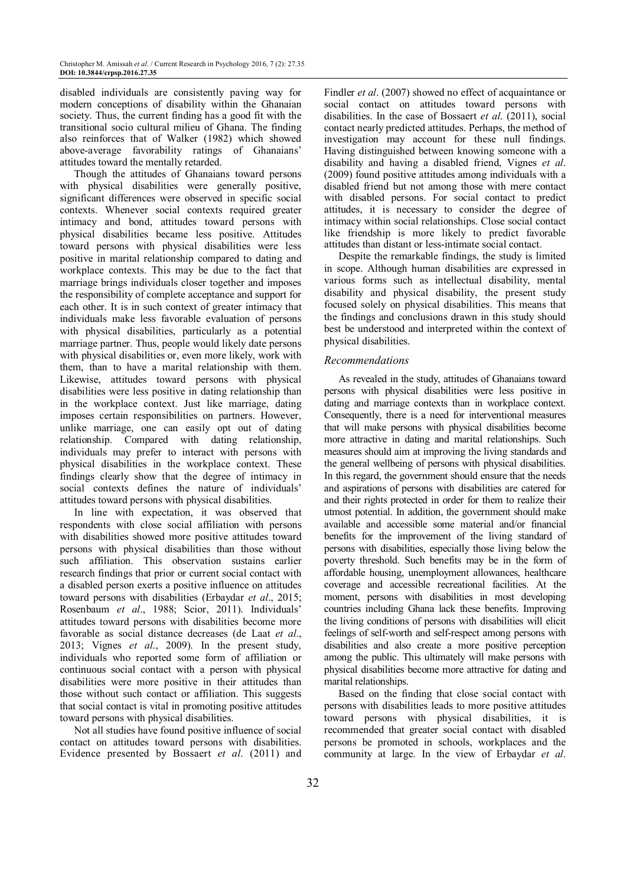disabled individuals are consistently paving way for modern conceptions of disability within the Ghanaian society. Thus, the current finding has a good fit with the transitional socio cultural milieu of Ghana. The finding also reinforces that of Walker (1982) which showed above-average favorability ratings of Ghanaians' attitudes toward the mentally retarded.

Though the attitudes of Ghanaians toward persons with physical disabilities were generally positive, significant differences were observed in specific social contexts. Whenever social contexts required greater intimacy and bond, attitudes toward persons with physical disabilities became less positive. Attitudes toward persons with physical disabilities were less positive in marital relationship compared to dating and workplace contexts. This may be due to the fact that marriage brings individuals closer together and imposes the responsibility of complete acceptance and support for each other. It is in such context of greater intimacy that individuals make less favorable evaluation of persons with physical disabilities, particularly as a potential marriage partner. Thus, people would likely date persons with physical disabilities or, even more likely, work with them, than to have a marital relationship with them. Likewise, attitudes toward persons with physical disabilities were less positive in dating relationship than in the workplace context. Just like marriage, dating imposes certain responsibilities on partners. However, unlike marriage, one can easily opt out of dating relationship. Compared with dating relationship, individuals may prefer to interact with persons with physical disabilities in the workplace context. These findings clearly show that the degree of intimacy in social contexts defines the nature of individuals' attitudes toward persons with physical disabilities.

In line with expectation, it was observed that respondents with close social affiliation with persons with disabilities showed more positive attitudes toward persons with physical disabilities than those without such affiliation. This observation sustains earlier research findings that prior or current social contact with a disabled person exerts a positive influence on attitudes toward persons with disabilities (Erbaydar *et al*., 2015; Rosenbaum *et al*., 1988; Scior, 2011). Individuals' attitudes toward persons with disabilities become more favorable as social distance decreases (de Laat *et al*., 2013; Vignes *et al*., 2009). In the present study, individuals who reported some form of affiliation or continuous social contact with a person with physical disabilities were more positive in their attitudes than those without such contact or affiliation. This suggests that social contact is vital in promoting positive attitudes toward persons with physical disabilities.

Not all studies have found positive influence of social contact on attitudes toward persons with disabilities. Evidence presented by Bossaert *et al*. (2011) and

Findler *et al*. (2007) showed no effect of acquaintance or social contact on attitudes toward persons with disabilities. In the case of Bossaert *et al*. (2011), social contact nearly predicted attitudes. Perhaps, the method of investigation may account for these null findings. Having distinguished between knowing someone with a disability and having a disabled friend, Vignes *et al*. (2009) found positive attitudes among individuals with a disabled friend but not among those with mere contact with disabled persons. For social contact to predict attitudes, it is necessary to consider the degree of intimacy within social relationships. Close social contact like friendship is more likely to predict favorable attitudes than distant or less-intimate social contact.

Despite the remarkable findings, the study is limited in scope. Although human disabilities are expressed in various forms such as intellectual disability, mental disability and physical disability, the present study focused solely on physical disabilities. This means that the findings and conclusions drawn in this study should best be understood and interpreted within the context of physical disabilities.

## *Recommendations*

As revealed in the study, attitudes of Ghanaians toward persons with physical disabilities were less positive in dating and marriage contexts than in workplace context. Consequently, there is a need for interventional measures that will make persons with physical disabilities become more attractive in dating and marital relationships. Such measures should aim at improving the living standards and the general wellbeing of persons with physical disabilities. In this regard, the government should ensure that the needs and aspirations of persons with disabilities are catered for and their rights protected in order for them to realize their utmost potential. In addition, the government should make available and accessible some material and/or financial benefits for the improvement of the living standard of persons with disabilities, especially those living below the poverty threshold. Such benefits may be in the form of affordable housing, unemployment allowances, healthcare coverage and accessible recreational facilities. At the moment, persons with disabilities in most developing countries including Ghana lack these benefits. Improving the living conditions of persons with disabilities will elicit feelings of self-worth and self-respect among persons with disabilities and also create a more positive perception among the public. This ultimately will make persons with physical disabilities become more attractive for dating and marital relationships.

Based on the finding that close social contact with persons with disabilities leads to more positive attitudes toward persons with physical disabilities, it is recommended that greater social contact with disabled persons be promoted in schools, workplaces and the community at large. In the view of Erbaydar *et al*.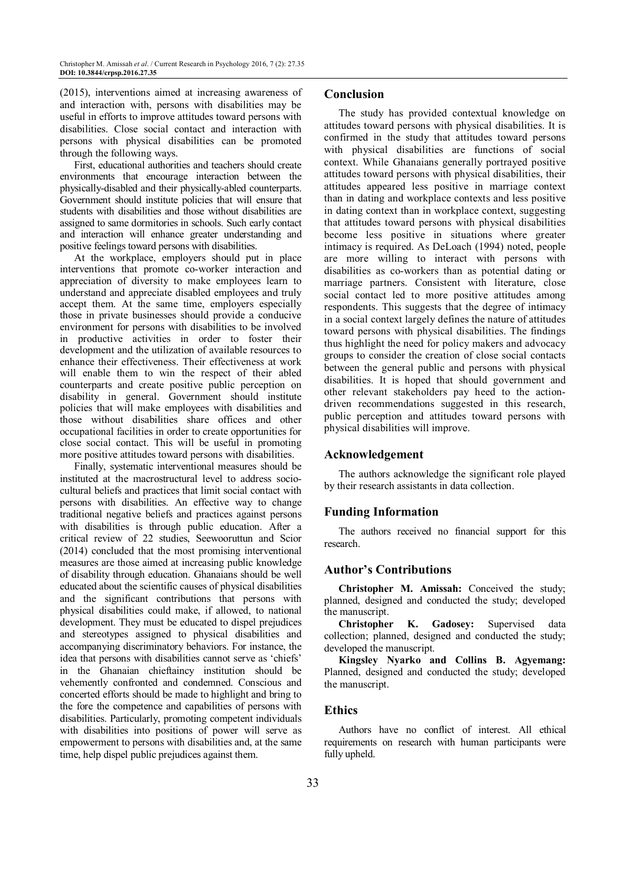(2015), interventions aimed at increasing awareness of and interaction with, persons with disabilities may be useful in efforts to improve attitudes toward persons with disabilities. Close social contact and interaction with persons with physical disabilities can be promoted through the following ways.

First, educational authorities and teachers should create environments that encourage interaction between the physically-disabled and their physically-abled counterparts. Government should institute policies that will ensure that students with disabilities and those without disabilities are assigned to same dormitories in schools. Such early contact and interaction will enhance greater understanding and positive feelings toward persons with disabilities.

At the workplace, employers should put in place interventions that promote co-worker interaction and appreciation of diversity to make employees learn to understand and appreciate disabled employees and truly accept them. At the same time, employers especially those in private businesses should provide a conducive environment for persons with disabilities to be involved in productive activities in order to foster their development and the utilization of available resources to enhance their effectiveness. Their effectiveness at work will enable them to win the respect of their abled counterparts and create positive public perception on disability in general. Government should institute policies that will make employees with disabilities and those without disabilities share offices and other occupational facilities in order to create opportunities for close social contact. This will be useful in promoting more positive attitudes toward persons with disabilities.

Finally, systematic interventional measures should be instituted at the macrostructural level to address sociocultural beliefs and practices that limit social contact with persons with disabilities. An effective way to change traditional negative beliefs and practices against persons with disabilities is through public education. After a critical review of 22 studies, Seewooruttun and Scior (2014) concluded that the most promising interventional measures are those aimed at increasing public knowledge of disability through education. Ghanaians should be well educated about the scientific causes of physical disabilities and the significant contributions that persons with physical disabilities could make, if allowed, to national development. They must be educated to dispel prejudices and stereotypes assigned to physical disabilities and accompanying discriminatory behaviors. For instance, the idea that persons with disabilities cannot serve as 'chiefs' in the Ghanaian chieftaincy institution should be vehemently confronted and condemned. Conscious and concerted efforts should be made to highlight and bring to the fore the competence and capabilities of persons with disabilities. Particularly, promoting competent individuals with disabilities into positions of power will serve as empowerment to persons with disabilities and, at the same time, help dispel public prejudices against them.

## **Conclusion**

The study has provided contextual knowledge on attitudes toward persons with physical disabilities. It is confirmed in the study that attitudes toward persons with physical disabilities are functions of social context. While Ghanaians generally portrayed positive attitudes toward persons with physical disabilities, their attitudes appeared less positive in marriage context than in dating and workplace contexts and less positive in dating context than in workplace context, suggesting that attitudes toward persons with physical disabilities become less positive in situations where greater intimacy is required. As DeLoach (1994) noted, people are more willing to interact with persons with disabilities as co-workers than as potential dating or marriage partners. Consistent with literature, close social contact led to more positive attitudes among respondents. This suggests that the degree of intimacy in a social context largely defines the nature of attitudes toward persons with physical disabilities. The findings thus highlight the need for policy makers and advocacy groups to consider the creation of close social contacts between the general public and persons with physical disabilities. It is hoped that should government and other relevant stakeholders pay heed to the actiondriven recommendations suggested in this research, public perception and attitudes toward persons with physical disabilities will improve.

## **Acknowledgement**

The authors acknowledge the significant role played by their research assistants in data collection.

## **Funding Information**

The authors received no financial support for this research.

#### **Author's Contributions**

**Christopher M. Amissah:** Conceived the study; planned, designed and conducted the study; developed the manuscript.

**Christopher K. Gadosey:** Supervised data collection; planned, designed and conducted the study; developed the manuscript.

**Kingsley Nyarko and Collins B. Agyemang:** Planned, designed and conducted the study; developed the manuscript.

## **Ethics**

Authors have no conflict of interest. All ethical requirements on research with human participants were fully upheld.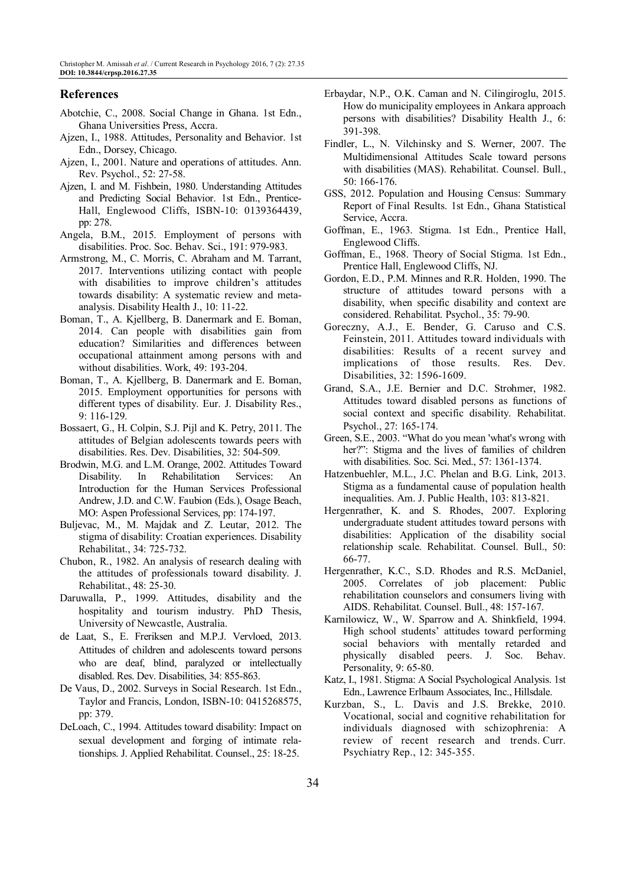## **References**

- Abotchie, C., 2008. Social Change in Ghana. 1st Edn., Ghana Universities Press, Accra.
- Ajzen, I., 1988. Attitudes, Personality and Behavior. 1st Edn., Dorsey, Chicago.
- Ajzen, I., 2001. Nature and operations of attitudes. Ann. Rev. Psychol., 52: 27-58.
- Ajzen, I. and M. Fishbein, 1980. Understanding Attitudes and Predicting Social Behavior. 1st Edn., Prentice-Hall, Englewood Cliffs, ISBN-10: 0139364439, pp: 278.
- Angela, B.M., 2015. Employment of persons with disabilities. Proc. Soc. Behav. Sci., 191: 979-983.
- Armstrong, M., C. Morris, C. Abraham and M. Tarrant, 2017. Interventions utilizing contact with people with disabilities to improve children's attitudes towards disability: A systematic review and metaanalysis. Disability Health J., 10: 11-22.
- Boman, T., A. Kjellberg, B. Danermark and E. Boman, 2014. Can people with disabilities gain from education? Similarities and differences between occupational attainment among persons with and without disabilities. Work, 49: 193-204.
- Boman, T., A. Kjellberg, B. Danermark and E. Boman, 2015. Employment opportunities for persons with different types of disability. Eur. J. Disability Res., 9: 116-129.
- Bossaert, G., H. Colpin, S.J. Pijl and K. Petry, 2011. The attitudes of Belgian adolescents towards peers with disabilities. Res. Dev. Disabilities, 32: 504-509.
- Brodwin, M.G. and L.M. Orange, 2002. Attitudes Toward Disability. In Rehabilitation Services: An Introduction for the Human Services Professional Andrew, J.D. and C.W. Faubion (Eds.), Osage Beach, MO: Aspen Professional Services, pp: 174-197.
- Buljevac, M., M. Majdak and Z. Leutar, 2012. The stigma of disability: Croatian experiences. Disability Rehabilitat., 34: 725-732.
- Chubon, R., 1982. An analysis of research dealing with the attitudes of professionals toward disability. J. Rehabilitat., 48: 25-30.
- Daruwalla, P., 1999. Attitudes, disability and the hospitality and tourism industry. PhD Thesis, University of Newcastle, Australia.
- de Laat, S., E. Freriksen and M.P.J. Vervloed, 2013. Attitudes of children and adolescents toward persons who are deaf, blind, paralyzed or intellectually disabled. Res. Dev. Disabilities, 34: 855-863.
- De Vaus, D., 2002. Surveys in Social Research. 1st Edn., Taylor and Francis, London, ISBN-10: 0415268575, pp: 379.
- DeLoach, C., 1994. Attitudes toward disability: Impact on sexual development and forging of intimate relationships. J. Applied Rehabilitat. Counsel., 25: 18-25.
- Erbaydar, N.P., O.K. Caman and N. Cilingiroglu, 2015. How do municipality employees in Ankara approach persons with disabilities? Disability Health J., 6: 391-398.
- Findler, L., N. Vilchinsky and S. Werner, 2007. The Multidimensional Attitudes Scale toward persons with disabilities (MAS). Rehabilitat. Counsel. Bull., 50: 166-176.
- GSS, 2012. Population and Housing Census: Summary Report of Final Results. 1st Edn., Ghana Statistical Service, Accra.
- Goffman, E., 1963. Stigma. 1st Edn., Prentice Hall, Englewood Cliffs.
- Goffman, E., 1968. Theory of Social Stigma. 1st Edn., Prentice Hall, Englewood Cliffs, NJ.
- Gordon, E.D., P.M. Minnes and R.R. Holden, 1990. The structure of attitudes toward persons with a disability, when specific disability and context are considered. Rehabilitat. Psychol., 35: 79-90.
- Goreczny, A.J., E. Bender, G. Caruso and C.S. Feinstein, 2011. Attitudes toward individuals with disabilities: Results of a recent survey and implications of those results. Res. Dev. Disabilities, 32: 1596-1609.
- Grand, S.A., J.E. Bernier and D.C. Strohmer, 1982. Attitudes toward disabled persons as functions of social context and specific disability. Rehabilitat. Psychol., 27: 165-174.
- Green, S.E., 2003. "What do you mean 'what's wrong with her?": Stigma and the lives of families of children with disabilities. Soc. Sci. Med., 57: 1361-1374.
- Hatzenbuehler, M.L., J.C. Phelan and B.G. Link, 2013. Stigma as a fundamental cause of population health inequalities. Am. J. Public Health, 103: 813-821.
- Hergenrather, K. and S. Rhodes, 2007. Exploring undergraduate student attitudes toward persons with disabilities: Application of the disability social relationship scale. Rehabilitat. Counsel. Bull., 50: 66-77.
- Hergenrather, K.C., S.D. Rhodes and R.S. McDaniel, 2005. Correlates of job placement: Public rehabilitation counselors and consumers living with AIDS. Rehabilitat. Counsel. Bull., 48: 157-167.
- Karnilowicz, W., W. Sparrow and A. Shinkfield, 1994. High school students' attitudes toward performing social behaviors with mentally retarded and physically disabled peers. J. Soc. Behav. Personality, 9: 65-80.
- Katz, I., 1981. Stigma: A Social Psychological Analysis. 1st Edn., Lawrence Erlbaum Associates, Inc., Hillsdale.
- Kurzban, S., L. Davis and J.S. Brekke, 2010. Vocational, social and cognitive rehabilitation for individuals diagnosed with schizophrenia: A review of recent research and trends. Curr. Psychiatry Rep., 12: 345-355.